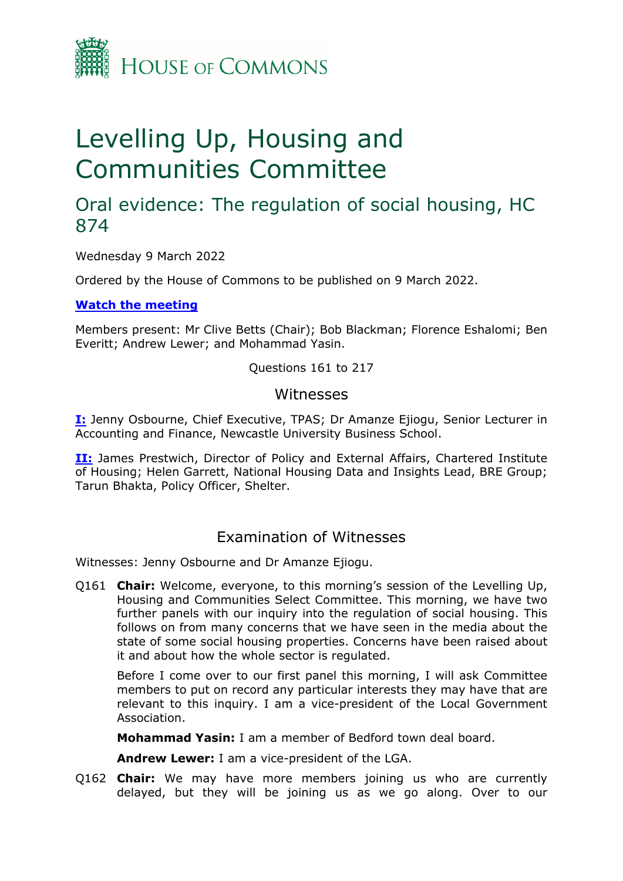

# Levelling Up, Housing and Communities Committee

## Oral evidence: The regulation of social housing, HC 874

Wednesday 9 March 2022

Ordered by the House of Commons to be published on 9 March 2022.

**[Watch](https://www.parliamentlive.tv/Event/Index/5133d1cb-82e4-4126-84fb-e3adbc002a3d) [the](https://www.parliamentlive.tv/Event/Index/5133d1cb-82e4-4126-84fb-e3adbc002a3d) [meeting](https://www.parliamentlive.tv/Event/Index/5133d1cb-82e4-4126-84fb-e3adbc002a3d)**

Members present: Mr Clive Betts (Chair); Bob Blackman; Florence Eshalomi; Ben Everitt; Andrew Lewer; and Mohammad Yasin.

Questions 161 to 217

#### Witnesses

**[I:](#page-0-0)** Jenny Osbourne, Chief Executive, TPAS; Dr Amanze Ejiogu, Senior Lecturer in Accounting and Finance, Newcastle University Business School.

**[II:](#page-11-0)** James Prestwich, Director of Policy and External Affairs, Chartered Institute of Housing; Helen Garrett, National Housing Data and Insights Lead, BRE Group; Tarun Bhakta, Policy Officer, Shelter.

### <span id="page-0-0"></span>Examination of Witnesses

Witnesses: Jenny Osbourne and Dr Amanze Ejiogu.

Q161 **Chair:** Welcome, everyone, to this morning's session of the Levelling Up, Housing and Communities Select Committee. This morning, we have two further panels with our inquiry into the regulation of social housing. This follows on from many concerns that we have seen in the media about the state of some social housing properties. Concerns have been raised about it and about how the whole sector is regulated.

Before I come over to our first panel this morning, I will ask Committee members to put on record any particular interests they may have that are relevant to this inquiry. I am a vice-president of the Local Government Association.

**Mohammad Yasin:** I am a member of Bedford town deal board.

**Andrew Lewer:** I am a vice-president of the LGA.

Q162 **Chair:** We may have more members joining us who are currently delayed, but they will be joining us as we go along. Over to our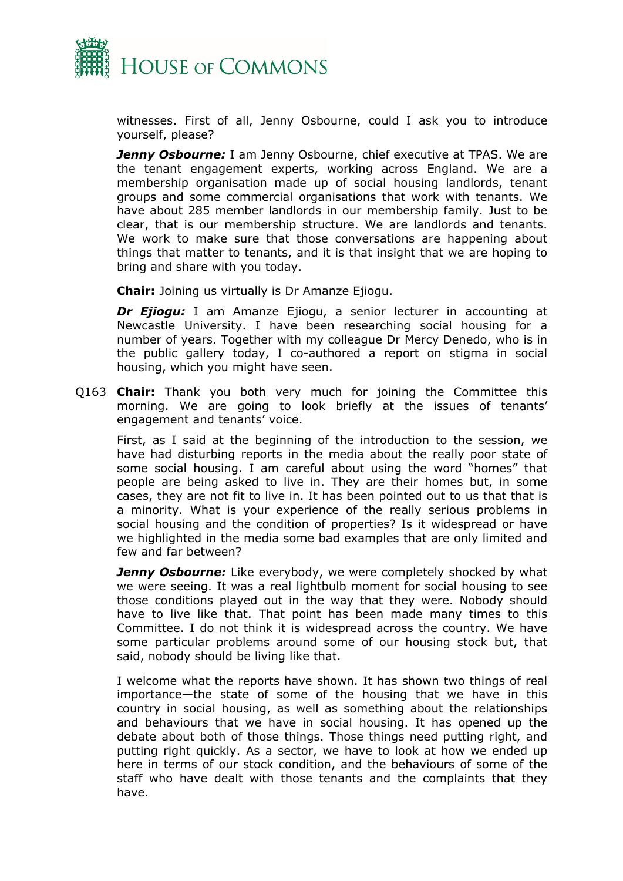

witnesses. First of all, Jenny Osbourne, could I ask you to introduce yourself, please?

**Jenny Osbourne:** I am Jenny Osbourne, chief executive at TPAS. We are the tenant engagement experts, working across England. We are a membership organisation made up of social housing landlords, tenant groups and some commercial organisations that work with tenants. We have about 285 member landlords in our membership family. Just to be clear, that is our membership structure. We are landlords and tenants. We work to make sure that those conversations are happening about things that matter to tenants, and it is that insight that we are hoping to bring and share with you today.

**Chair:** Joining us virtually is Dr Amanze Ejiogu.

*Dr Ejiogu:* I am Amanze Ejiogu, a senior lecturer in accounting at Newcastle University. I have been researching social housing for a number of years. Together with my colleague Dr Mercy Denedo, who is in the public gallery today, I co-authored a report on stigma in social housing, which you might have seen.

Q163 **Chair:** Thank you both very much for joining the Committee this morning. We are going to look briefly at the issues of tenants' engagement and tenants' voice.

First, as I said at the beginning of the introduction to the session, we have had disturbing reports in the media about the really poor state of some social housing. I am careful about using the word "homes" that people are being asked to live in. They are their homes but, in some cases, they are not fit to live in. It has been pointed out to us that that is a minority. What is your experience of the really serious problems in social housing and the condition of properties? Is it widespread or have we highlighted in the media some bad examples that are only limited and few and far between?

*Jenny Osbourne:* Like everybody, we were completely shocked by what we were seeing. It was a real lightbulb moment for social housing to see those conditions played out in the way that they were. Nobody should have to live like that. That point has been made many times to this Committee. I do not think it is widespread across the country. We have some particular problems around some of our housing stock but, that said, nobody should be living like that.

I welcome what the reports have shown. It has shown two things of real importance—the state of some of the housing that we have in this country in social housing, as well as something about the relationships and behaviours that we have in social housing. It has opened up the debate about both of those things. Those things need putting right, and putting right quickly. As a sector, we have to look at how we ended up here in terms of our stock condition, and the behaviours of some of the staff who have dealt with those tenants and the complaints that they have.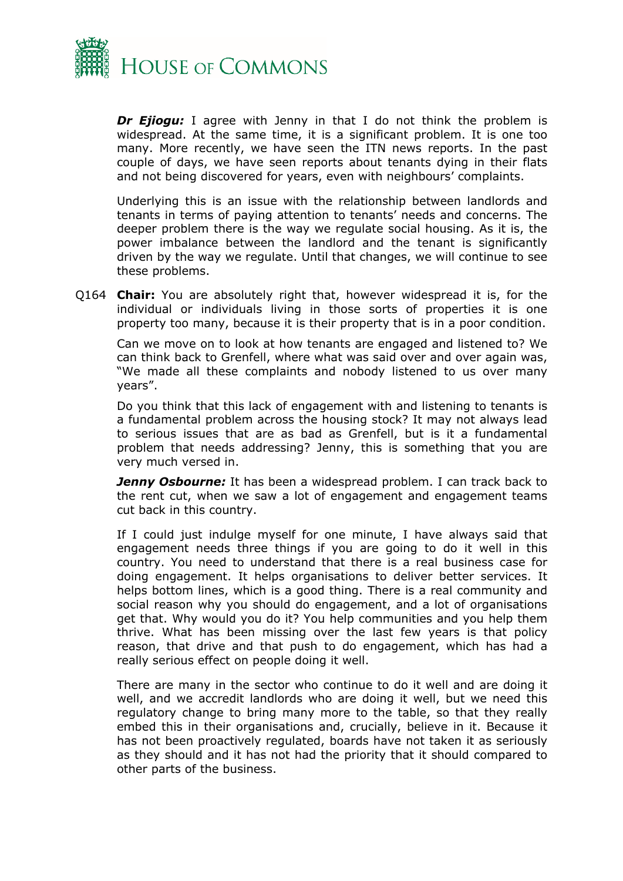

**Dr Ejiogu:** I agree with Jenny in that I do not think the problem is widespread. At the same time, it is a significant problem. It is one too many. More recently, we have seen the ITN news reports. In the past couple of days, we have seen reports about tenants dying in their flats and not being discovered for years, even with neighbours' complaints.

Underlying this is an issue with the relationship between landlords and tenants in terms of paying attention to tenants' needs and concerns. The deeper problem there is the way we regulate social housing. As it is, the power imbalance between the landlord and the tenant is significantly driven by the way we regulate. Until that changes, we will continue to see these problems.

Q164 **Chair:** You are absolutely right that, however widespread it is, for the individual or individuals living in those sorts of properties it is one property too many, because it is their property that is in a poor condition.

Can we move on to look at how tenants are engaged and listened to? We can think back to Grenfell, where what was said over and over again was, "We made all these complaints and nobody listened to us over many years".

Do you think that this lack of engagement with and listening to tenants is a fundamental problem across the housing stock? It may not always lead to serious issues that are as bad as Grenfell, but is it a fundamental problem that needs addressing? Jenny, this is something that you are very much versed in.

**Jenny Osbourne:** It has been a widespread problem. I can track back to the rent cut, when we saw a lot of engagement and engagement teams cut back in this country.

If I could just indulge myself for one minute, I have always said that engagement needs three things if you are going to do it well in this country. You need to understand that there is a real business case for doing engagement. It helps organisations to deliver better services. It helps bottom lines, which is a good thing. There is a real community and social reason why you should do engagement, and a lot of organisations get that. Why would you do it? You help communities and you help them thrive. What has been missing over the last few years is that policy reason, that drive and that push to do engagement, which has had a really serious effect on people doing it well.

There are many in the sector who continue to do it well and are doing it well, and we accredit landlords who are doing it well, but we need this regulatory change to bring many more to the table, so that they really embed this in their organisations and, crucially, believe in it. Because it has not been proactively regulated, boards have not taken it as seriously as they should and it has not had the priority that it should compared to other parts of the business.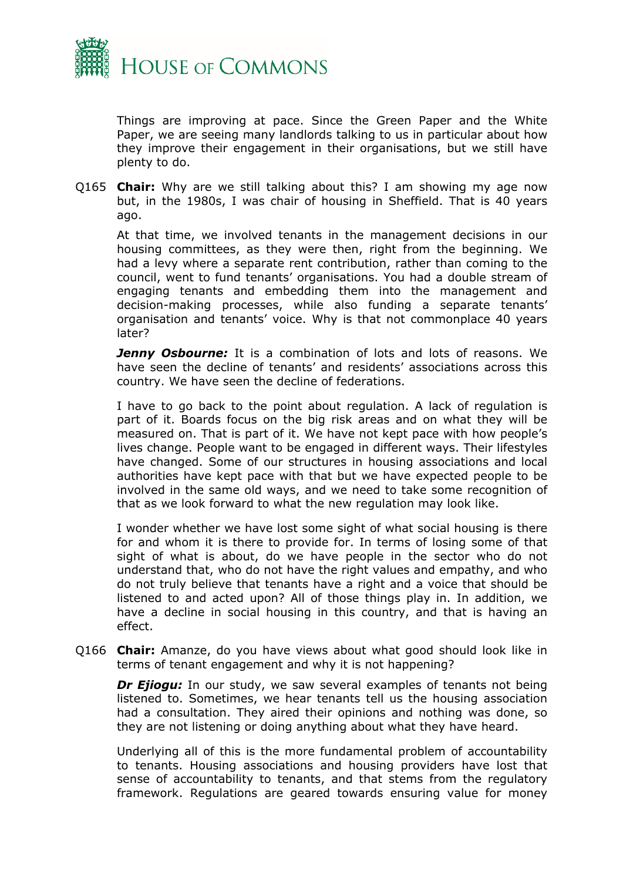

Things are improving at pace. Since the Green Paper and the White Paper, we are seeing many landlords talking to us in particular about how they improve their engagement in their organisations, but we still have plenty to do.

Q165 **Chair:** Why are we still talking about this? I am showing my age now but, in the 1980s, I was chair of housing in Sheffield. That is 40 years ago.

At that time, we involved tenants in the management decisions in our housing committees, as they were then, right from the beginning. We had a levy where a separate rent contribution, rather than coming to the council, went to fund tenants' organisations. You had a double stream of engaging tenants and embedding them into the management and decision-making processes, while also funding a separate tenants' organisation and tenants' voice. Why is that not commonplace 40 years later?

*Jenny Osbourne:* It is a combination of lots and lots of reasons. We have seen the decline of tenants' and residents' associations across this country. We have seen the decline of federations.

I have to go back to the point about regulation. A lack of regulation is part of it. Boards focus on the big risk areas and on what they will be measured on. That is part of it. We have not kept pace with how people's lives change. People want to be engaged in different ways. Their lifestyles have changed. Some of our structures in housing associations and local authorities have kept pace with that but we have expected people to be involved in the same old ways, and we need to take some recognition of that as we look forward to what the new regulation may look like.

I wonder whether we have lost some sight of what social housing is there for and whom it is there to provide for. In terms of losing some of that sight of what is about, do we have people in the sector who do not understand that, who do not have the right values and empathy, and who do not truly believe that tenants have a right and a voice that should be listened to and acted upon? All of those things play in. In addition, we have a decline in social housing in this country, and that is having an effect.

Q166 **Chair:** Amanze, do you have views about what good should look like in terms of tenant engagement and why it is not happening?

*Dr Ejiogu:* In our study, we saw several examples of tenants not being listened to. Sometimes, we hear tenants tell us the housing association had a consultation. They aired their opinions and nothing was done, so they are not listening or doing anything about what they have heard.

Underlying all of this is the more fundamental problem of accountability to tenants. Housing associations and housing providers have lost that sense of accountability to tenants, and that stems from the regulatory framework. Regulations are geared towards ensuring value for money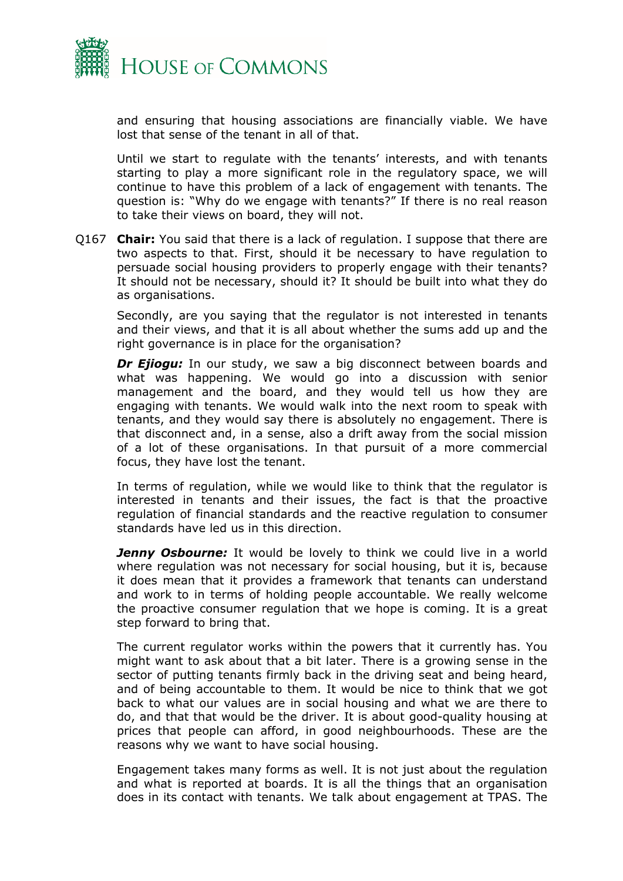

and ensuring that housing associations are financially viable. We have lost that sense of the tenant in all of that.

Until we start to regulate with the tenants' interests, and with tenants starting to play a more significant role in the regulatory space, we will continue to have this problem of a lack of engagement with tenants. The question is: "Why do we engage with tenants?" If there is no real reason to take their views on board, they will not.

Q167 **Chair:** You said that there is a lack of regulation. I suppose that there are two aspects to that. First, should it be necessary to have regulation to persuade social housing providers to properly engage with their tenants? It should not be necessary, should it? It should be built into what they do as organisations.

Secondly, are you saying that the regulator is not interested in tenants and their views, and that it is all about whether the sums add up and the right governance is in place for the organisation?

**Dr Ejiogu:** In our study, we saw a big disconnect between boards and what was happening. We would go into a discussion with senior management and the board, and they would tell us how they are engaging with tenants. We would walk into the next room to speak with tenants, and they would say there is absolutely no engagement. There is that disconnect and, in a sense, also a drift away from the social mission of a lot of these organisations. In that pursuit of a more commercial focus, they have lost the tenant.

In terms of regulation, while we would like to think that the regulator is interested in tenants and their issues, the fact is that the proactive regulation of financial standards and the reactive regulation to consumer standards have led us in this direction.

**Jenny Osbourne:** It would be lovely to think we could live in a world where regulation was not necessary for social housing, but it is, because it does mean that it provides a framework that tenants can understand and work to in terms of holding people accountable. We really welcome the proactive consumer regulation that we hope is coming. It is a great step forward to bring that.

The current regulator works within the powers that it currently has. You might want to ask about that a bit later. There is a growing sense in the sector of putting tenants firmly back in the driving seat and being heard, and of being accountable to them. It would be nice to think that we got back to what our values are in social housing and what we are there to do, and that that would be the driver. It is about good-quality housing at prices that people can afford, in good neighbourhoods. These are the reasons why we want to have social housing.

Engagement takes many forms as well. It is not just about the regulation and what is reported at boards. It is all the things that an organisation does in its contact with tenants. We talk about engagement at TPAS. The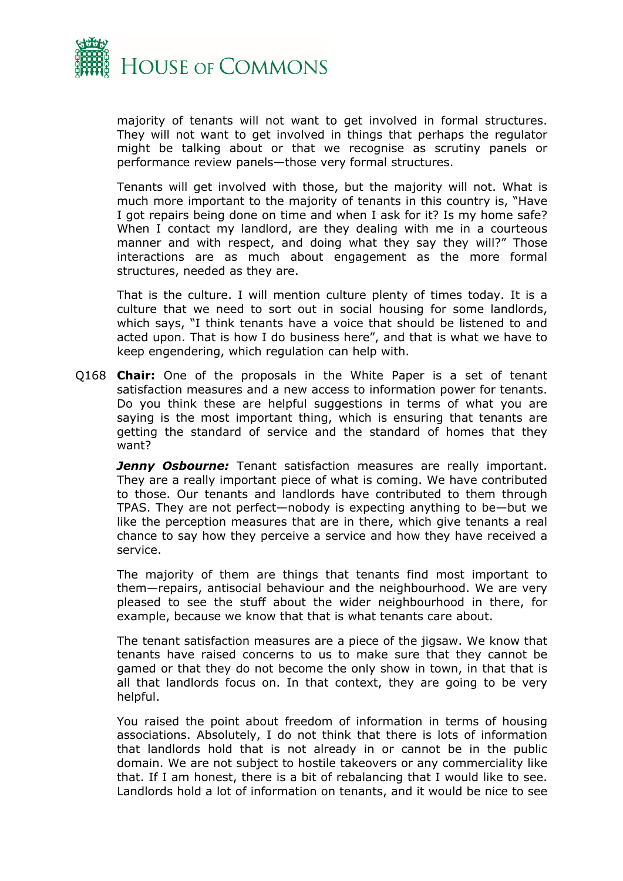

majority of tenants will not want to get involved in formal structures. They will not want to get involved in things that perhaps the regulator might be talking about or that we recognise as scrutiny panels or performance review panels—those very formal structures.

Tenants will get involved with those, but the majority will not. What is much more important to the majority of tenants in this country is, "Have I got repairs being done on time and when I ask for it? Is my home safe? When I contact my landlord, are they dealing with me in a courteous manner and with respect, and doing what they say they will?" Those interactions are as much about engagement as the more formal structures, needed as they are.

That is the culture. I will mention culture plenty of times today. It is a culture that we need to sort out in social housing for some landlords, which says, "I think tenants have a voice that should be listened to and acted upon. That is how I do business here", and that is what we have to keep engendering, which regulation can help with.

Q168 **Chair:** One of the proposals in the White Paper is a set of tenant satisfaction measures and a new access to information power for tenants. Do you think these are helpful suggestions in terms of what you are saying is the most important thing, which is ensuring that tenants are getting the standard of service and the standard of homes that they want?

*Jenny Osbourne:* Tenant satisfaction measures are really important. They are a really important piece of what is coming. We have contributed to those. Our tenants and landlords have contributed to them through TPAS. They are not perfect—nobody is expecting anything to be—but we like the perception measures that are in there, which give tenants a real chance to say how they perceive a service and how they have received a service.

The majority of them are things that tenants find most important to them—repairs, antisocial behaviour and the neighbourhood. We are very pleased to see the stuff about the wider neighbourhood in there, for example, because we know that that is what tenants care about.

The tenant satisfaction measures are a piece of the jigsaw. We know that tenants have raised concerns to us to make sure that they cannot be gamed or that they do not become the only show in town, in that that is all that landlords focus on. In that context, they are going to be very helpful.

You raised the point about freedom of information in terms of housing associations. Absolutely, I do not think that there is lots of information that landlords hold that is not already in or cannot be in the public domain. We are not subject to hostile takeovers or any commerciality like that. If I am honest, there is a bit of rebalancing that I would like to see. Landlords hold a lot of information on tenants, and it would be nice to see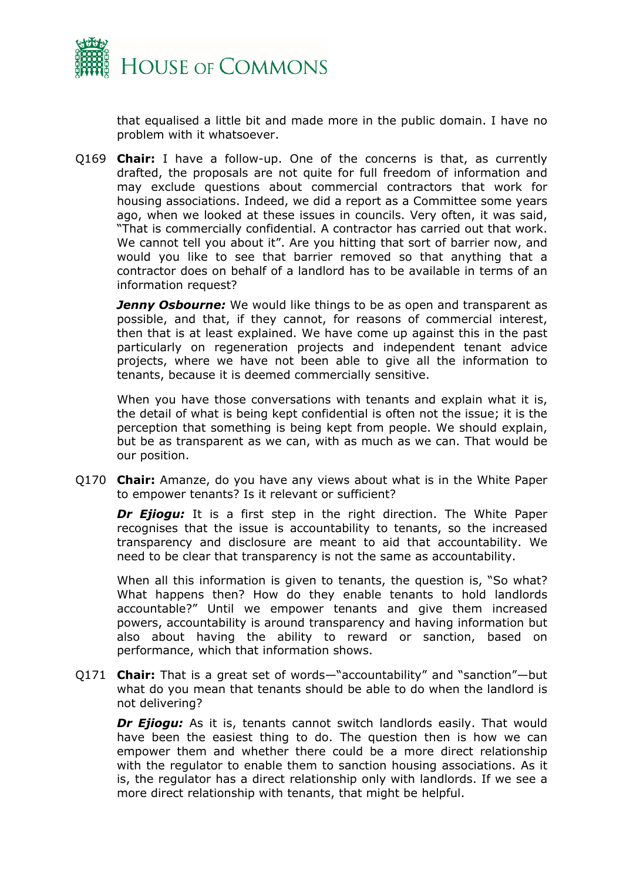

that equalised a little bit and made more in the public domain. I have no problem with it whatsoever.

Q169 **Chair:** I have a follow-up. One of the concerns is that, as currently drafted, the proposals are not quite for full freedom of information and may exclude questions about commercial contractors that work for housing associations. Indeed, we did a report as a Committee some years ago, when we looked at these issues in councils. Very often, it was said, "That is commercially confidential. A contractor has carried out that work. We cannot tell you about it". Are you hitting that sort of barrier now, and would you like to see that barrier removed so that anything that a contractor does on behalf of a landlord has to be available in terms of an information request?

*Jenny Osbourne:* We would like things to be as open and transparent as possible, and that, if they cannot, for reasons of commercial interest, then that is at least explained. We have come up against this in the past particularly on regeneration projects and independent tenant advice projects, where we have not been able to give all the information to tenants, because it is deemed commercially sensitive.

When you have those conversations with tenants and explain what it is, the detail of what is being kept confidential is often not the issue; it is the perception that something is being kept from people. We should explain, but be as transparent as we can, with as much as we can. That would be our position.

Q170 **Chair:** Amanze, do you have any views about what is in the White Paper to empower tenants? Is it relevant or sufficient?

*Dr Ejiogu:* It is a first step in the right direction. The White Paper recognises that the issue is accountability to tenants, so the increased transparency and disclosure are meant to aid that accountability. We need to be clear that transparency is not the same as accountability.

When all this information is given to tenants, the question is, "So what? What happens then? How do they enable tenants to hold landlords accountable?" Until we empower tenants and give them increased powers, accountability is around transparency and having information but also about having the ability to reward or sanction, based on performance, which that information shows.

Q171 **Chair:** That is a great set of words—"accountability" and "sanction"—but what do you mean that tenants should be able to do when the landlord is not delivering?

**Dr Ejiogu:** As it is, tenants cannot switch landlords easily. That would have been the easiest thing to do. The question then is how we can empower them and whether there could be a more direct relationship with the regulator to enable them to sanction housing associations. As it is, the regulator has a direct relationship only with landlords. If we see a more direct relationship with tenants, that might be helpful.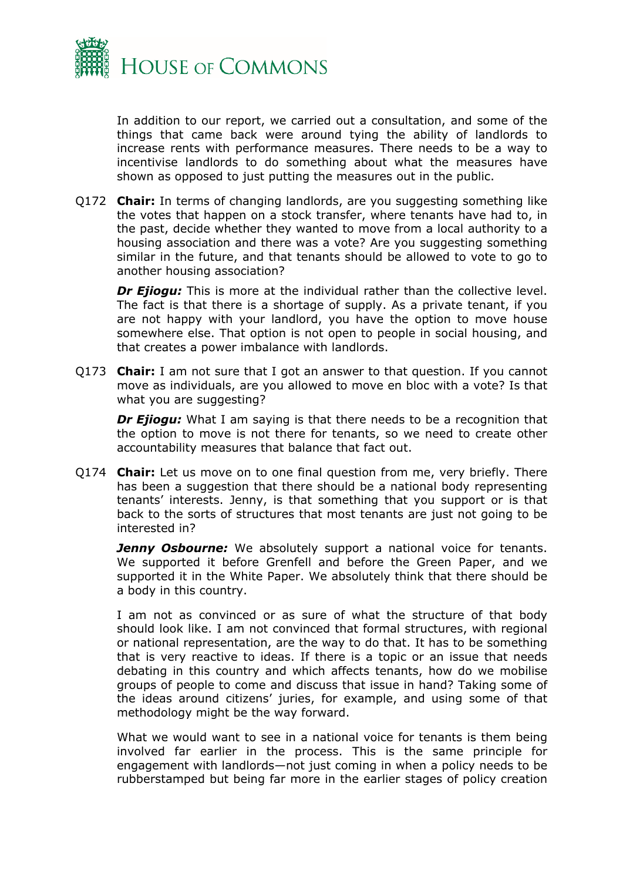

In addition to our report, we carried out a consultation, and some of the things that came back were around tying the ability of landlords to increase rents with performance measures. There needs to be a way to incentivise landlords to do something about what the measures have shown as opposed to just putting the measures out in the public.

Q172 **Chair:** In terms of changing landlords, are you suggesting something like the votes that happen on a stock transfer, where tenants have had to, in the past, decide whether they wanted to move from a local authority to a housing association and there was a vote? Are you suggesting something similar in the future, and that tenants should be allowed to vote to go to another housing association?

*Dr Ejiogu:* This is more at the individual rather than the collective level. The fact is that there is a shortage of supply. As a private tenant, if you are not happy with your landlord, you have the option to move house somewhere else. That option is not open to people in social housing, and that creates a power imbalance with landlords.

Q173 **Chair:** I am not sure that I got an answer to that question. If you cannot move as individuals, are you allowed to move en bloc with a vote? Is that what you are suggesting?

*Dr Ejiogu:* What I am saying is that there needs to be a recognition that the option to move is not there for tenants, so we need to create other accountability measures that balance that fact out.

Q174 **Chair:** Let us move on to one final question from me, very briefly. There has been a suggestion that there should be a national body representing tenants' interests. Jenny, is that something that you support or is that back to the sorts of structures that most tenants are just not going to be interested in?

*Jenny Osbourne:* We absolutely support a national voice for tenants. We supported it before Grenfell and before the Green Paper, and we supported it in the White Paper. We absolutely think that there should be a body in this country.

I am not as convinced or as sure of what the structure of that body should look like. I am not convinced that formal structures, with regional or national representation, are the way to do that. It has to be something that is very reactive to ideas. If there is a topic or an issue that needs debating in this country and which affects tenants, how do we mobilise groups of people to come and discuss that issue in hand? Taking some of the ideas around citizens' juries, for example, and using some of that methodology might be the way forward.

What we would want to see in a national voice for tenants is them being involved far earlier in the process. This is the same principle for engagement with landlords—not just coming in when a policy needs to be rubberstamped but being far more in the earlier stages of policy creation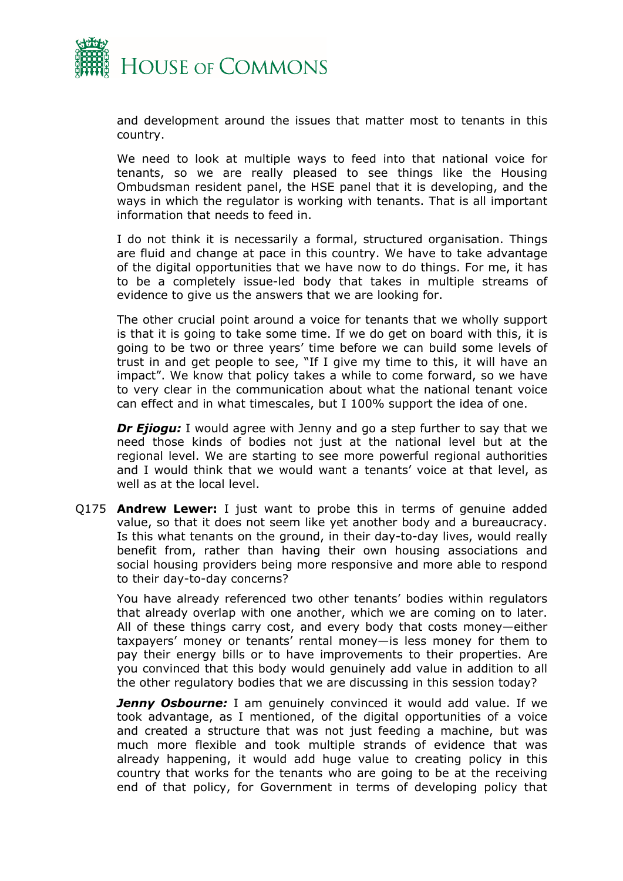

and development around the issues that matter most to tenants in this country.

We need to look at multiple ways to feed into that national voice for tenants, so we are really pleased to see things like the Housing Ombudsman resident panel, the HSE panel that it is developing, and the ways in which the regulator is working with tenants. That is all important information that needs to feed in.

I do not think it is necessarily a formal, structured organisation. Things are fluid and change at pace in this country. We have to take advantage of the digital opportunities that we have now to do things. For me, it has to be a completely issue-led body that takes in multiple streams of evidence to give us the answers that we are looking for.

The other crucial point around a voice for tenants that we wholly support is that it is going to take some time. If we do get on board with this, it is going to be two or three years' time before we can build some levels of trust in and get people to see, "If I give my time to this, it will have an impact". We know that policy takes a while to come forward, so we have to very clear in the communication about what the national tenant voice can effect and in what timescales, but I 100% support the idea of one.

**Dr Ejiogu:** I would agree with Jenny and go a step further to say that we need those kinds of bodies not just at the national level but at the regional level. We are starting to see more powerful regional authorities and I would think that we would want a tenants' voice at that level, as well as at the local level.

Q175 **Andrew Lewer:** I just want to probe this in terms of genuine added value, so that it does not seem like yet another body and a bureaucracy. Is this what tenants on the ground, in their day-to-day lives, would really benefit from, rather than having their own housing associations and social housing providers being more responsive and more able to respond to their day-to-day concerns?

You have already referenced two other tenants' bodies within regulators that already overlap with one another, which we are coming on to later. All of these things carry cost, and every body that costs money—either taxpayers' money or tenants' rental money—is less money for them to pay their energy bills or to have improvements to their properties. Are you convinced that this body would genuinely add value in addition to all the other regulatory bodies that we are discussing in this session today?

**Jenny Osbourne:** I am genuinely convinced it would add value. If we took advantage, as I mentioned, of the digital opportunities of a voice and created a structure that was not just feeding a machine, but was much more flexible and took multiple strands of evidence that was already happening, it would add huge value to creating policy in this country that works for the tenants who are going to be at the receiving end of that policy, for Government in terms of developing policy that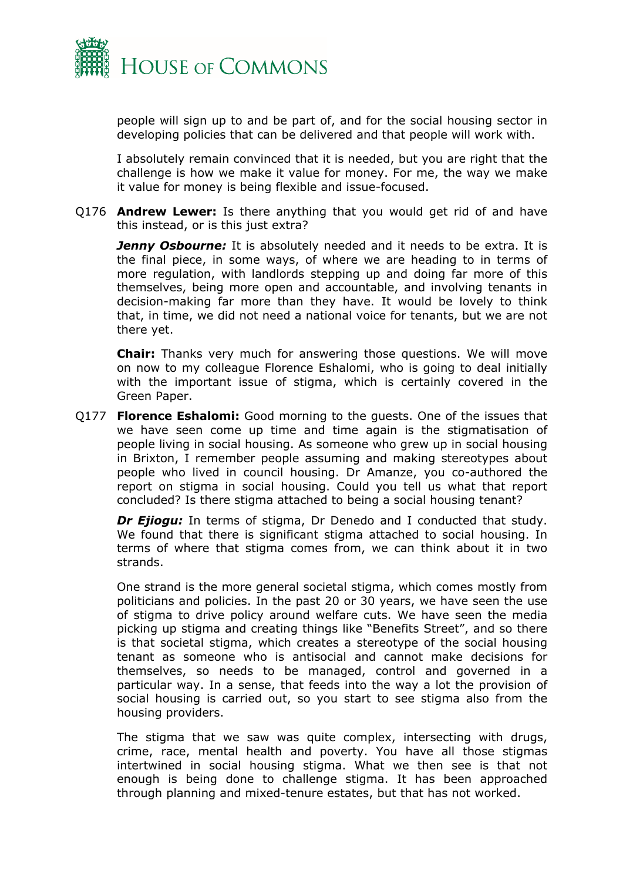

people will sign up to and be part of, and for the social housing sector in developing policies that can be delivered and that people will work with.

I absolutely remain convinced that it is needed, but you are right that the challenge is how we make it value for money. For me, the way we make it value for money is being flexible and issue-focused.

Q176 **Andrew Lewer:** Is there anything that you would get rid of and have this instead, or is this just extra?

*Jenny Osbourne:* It is absolutely needed and it needs to be extra. It is the final piece, in some ways, of where we are heading to in terms of more regulation, with landlords stepping up and doing far more of this themselves, being more open and accountable, and involving tenants in decision-making far more than they have. It would be lovely to think that, in time, we did not need a national voice for tenants, but we are not there yet.

**Chair:** Thanks very much for answering those questions. We will move on now to my colleague Florence Eshalomi, who is going to deal initially with the important issue of stigma, which is certainly covered in the Green Paper.

Q177 **Florence Eshalomi:** Good morning to the guests. One of the issues that we have seen come up time and time again is the stigmatisation of people living in social housing. As someone who grew up in social housing in Brixton, I remember people assuming and making stereotypes about people who lived in council housing. Dr Amanze, you co-authored the report on stigma in social housing. Could you tell us what that report concluded? Is there stigma attached to being a social housing tenant?

*Dr Ejiogu:* In terms of stigma, Dr Denedo and I conducted that study. We found that there is significant stigma attached to social housing. In terms of where that stigma comes from, we can think about it in two strands.

One strand is the more general societal stigma, which comes mostly from politicians and policies. In the past 20 or 30 years, we have seen the use of stigma to drive policy around welfare cuts. We have seen the media picking up stigma and creating things like "Benefits Street", and so there is that societal stigma, which creates a stereotype of the social housing tenant as someone who is antisocial and cannot make decisions for themselves, so needs to be managed, control and governed in a particular way. In a sense, that feeds into the way a lot the provision of social housing is carried out, so you start to see stigma also from the housing providers.

The stigma that we saw was quite complex, intersecting with drugs, crime, race, mental health and poverty. You have all those stigmas intertwined in social housing stigma. What we then see is that not enough is being done to challenge stigma. It has been approached through planning and mixed-tenure estates, but that has not worked.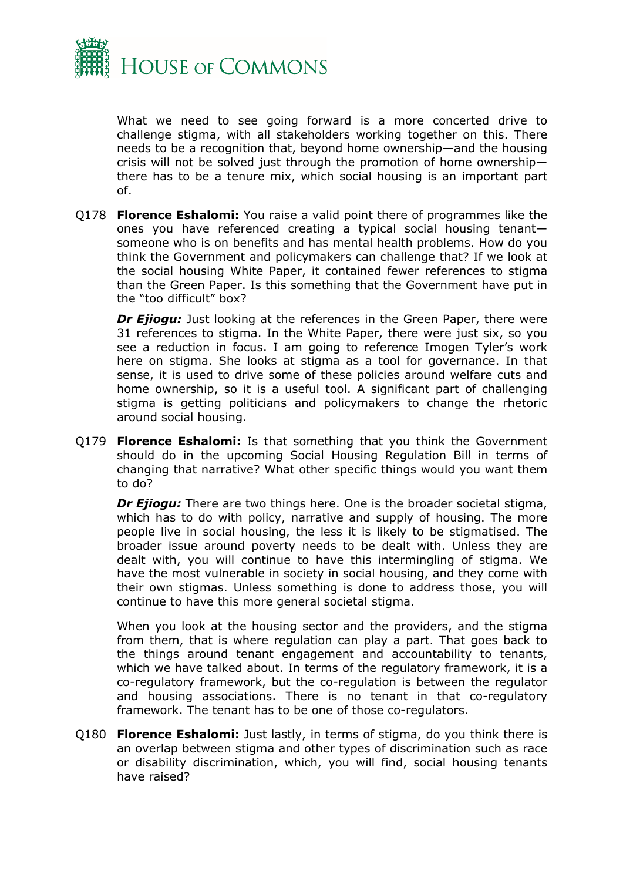

What we need to see going forward is a more concerted drive to challenge stigma, with all stakeholders working together on this. There needs to be a recognition that, beyond home ownership—and the housing crisis will not be solved just through the promotion of home ownership there has to be a tenure mix, which social housing is an important part of.

Q178 **Florence Eshalomi:** You raise a valid point there of programmes like the ones you have referenced creating a typical social housing tenant someone who is on benefits and has mental health problems. How do you think the Government and policymakers can challenge that? If we look at the social housing White Paper, it contained fewer references to stigma than the Green Paper. Is this something that the Government have put in the "too difficult" box?

*Dr Ejiogu:* Just looking at the references in the Green Paper, there were 31 references to stigma. In the White Paper, there were just six, so you see a reduction in focus. I am going to reference Imogen Tyler's work here on stigma. She looks at stigma as a tool for governance. In that sense, it is used to drive some of these policies around welfare cuts and home ownership, so it is a useful tool. A significant part of challenging stigma is getting politicians and policymakers to change the rhetoric around social housing.

Q179 **Florence Eshalomi:** Is that something that you think the Government should do in the upcoming Social Housing Regulation Bill in terms of changing that narrative? What other specific things would you want them to do?

*Dr Ejiogu:* There are two things here. One is the broader societal stigma, which has to do with policy, narrative and supply of housing. The more people live in social housing, the less it is likely to be stigmatised. The broader issue around poverty needs to be dealt with. Unless they are dealt with, you will continue to have this intermingling of stigma. We have the most vulnerable in society in social housing, and they come with their own stigmas. Unless something is done to address those, you will continue to have this more general societal stigma.

When you look at the housing sector and the providers, and the stigma from them, that is where regulation can play a part. That goes back to the things around tenant engagement and accountability to tenants, which we have talked about. In terms of the regulatory framework, it is a co-regulatory framework, but the co-regulation is between the regulator and housing associations. There is no tenant in that co-regulatory framework. The tenant has to be one of those co-regulators.

Q180 **Florence Eshalomi:** Just lastly, in terms of stigma, do you think there is an overlap between stigma and other types of discrimination such as race or disability discrimination, which, you will find, social housing tenants have raised?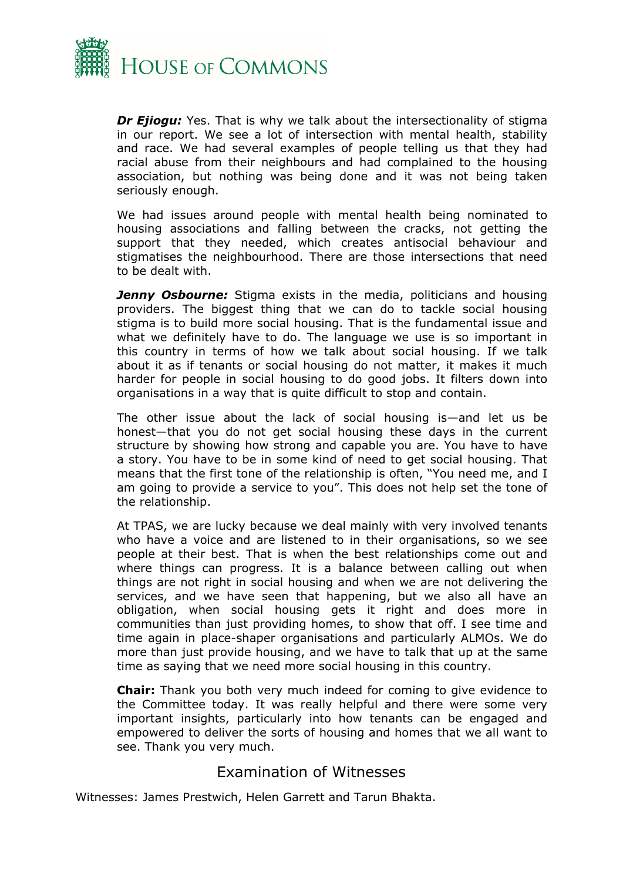

**Dr Ejiogu:** Yes. That is why we talk about the intersectionality of stigma in our report. We see a lot of intersection with mental health, stability and race. We had several examples of people telling us that they had racial abuse from their neighbours and had complained to the housing association, but nothing was being done and it was not being taken seriously enough.

We had issues around people with mental health being nominated to housing associations and falling between the cracks, not getting the support that they needed, which creates antisocial behaviour and stigmatises the neighbourhood. There are those intersections that need to be dealt with.

*Jenny Osbourne:* Stigma exists in the media, politicians and housing providers. The biggest thing that we can do to tackle social housing stigma is to build more social housing. That is the fundamental issue and what we definitely have to do. The language we use is so important in this country in terms of how we talk about social housing. If we talk about it as if tenants or social housing do not matter, it makes it much harder for people in social housing to do good jobs. It filters down into organisations in a way that is quite difficult to stop and contain.

The other issue about the lack of social housing is—and let us be honest—that you do not get social housing these days in the current structure by showing how strong and capable you are. You have to have a story. You have to be in some kind of need to get social housing. That means that the first tone of the relationship is often, "You need me, and I am going to provide a service to you". This does not help set the tone of the relationship.

At TPAS, we are lucky because we deal mainly with very involved tenants who have a voice and are listened to in their organisations, so we see people at their best. That is when the best relationships come out and where things can progress. It is a balance between calling out when things are not right in social housing and when we are not delivering the services, and we have seen that happening, but we also all have an obligation, when social housing gets it right and does more in communities than just providing homes, to show that off. I see time and time again in place-shaper organisations and particularly ALMOs. We do more than just provide housing, and we have to talk that up at the same time as saying that we need more social housing in this country.

**Chair:** Thank you both very much indeed for coming to give evidence to the Committee today. It was really helpful and there were some very important insights, particularly into how tenants can be engaged and empowered to deliver the sorts of housing and homes that we all want to see. Thank you very much.

#### <span id="page-11-0"></span>Examination of Witnesses

Witnesses: James Prestwich, Helen Garrett and Tarun Bhakta.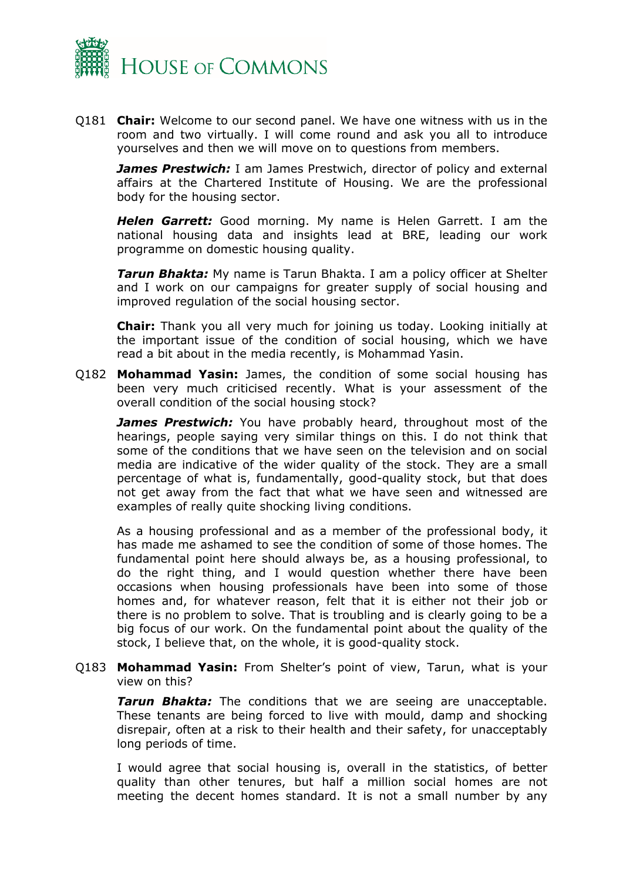

Q181 **Chair:** Welcome to our second panel. We have one witness with us in the room and two virtually. I will come round and ask you all to introduce yourselves and then we will move on to questions from members.

*James Prestwich:* I am James Prestwich, director of policy and external affairs at the Chartered Institute of Housing. We are the professional body for the housing sector.

*Helen Garrett:* Good morning. My name is Helen Garrett. I am the national housing data and insights lead at BRE, leading our work programme on domestic housing quality.

*Tarun Bhakta:* My name is Tarun Bhakta. I am a policy officer at Shelter and I work on our campaigns for greater supply of social housing and improved regulation of the social housing sector.

**Chair:** Thank you all very much for joining us today. Looking initially at the important issue of the condition of social housing, which we have read a bit about in the media recently, is Mohammad Yasin.

Q182 **Mohammad Yasin:** James, the condition of some social housing has been very much criticised recently. What is your assessment of the overall condition of the social housing stock?

**James Prestwich:** You have probably heard, throughout most of the hearings, people saying very similar things on this. I do not think that some of the conditions that we have seen on the television and on social media are indicative of the wider quality of the stock. They are a small percentage of what is, fundamentally, good-quality stock, but that does not get away from the fact that what we have seen and witnessed are examples of really quite shocking living conditions.

As a housing professional and as a member of the professional body, it has made me ashamed to see the condition of some of those homes. The fundamental point here should always be, as a housing professional, to do the right thing, and I would question whether there have been occasions when housing professionals have been into some of those homes and, for whatever reason, felt that it is either not their job or there is no problem to solve. That is troubling and is clearly going to be a big focus of our work. On the fundamental point about the quality of the stock, I believe that, on the whole, it is good-quality stock.

Q183 **Mohammad Yasin:** From Shelter's point of view, Tarun, what is your view on this?

**Tarun Bhakta:** The conditions that we are seeing are unacceptable. These tenants are being forced to live with mould, damp and shocking disrepair, often at a risk to their health and their safety, for unacceptably long periods of time.

I would agree that social housing is, overall in the statistics, of better quality than other tenures, but half a million social homes are not meeting the decent homes standard. It is not a small number by any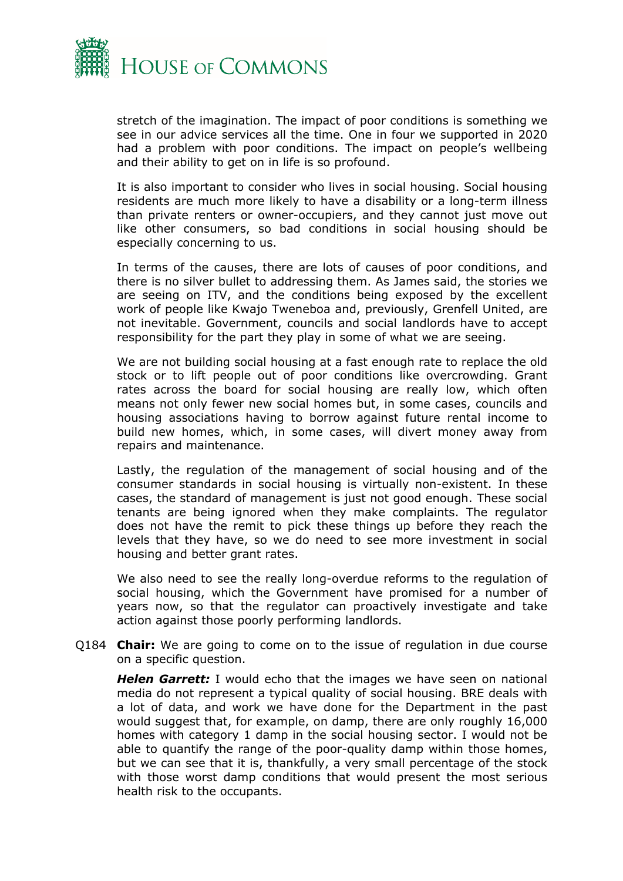

stretch of the imagination. The impact of poor conditions is something we see in our advice services all the time. One in four we supported in 2020 had a problem with poor conditions. The impact on people's wellbeing and their ability to get on in life is so profound.

It is also important to consider who lives in social housing. Social housing residents are much more likely to have a disability or a long-term illness than private renters or owner-occupiers, and they cannot just move out like other consumers, so bad conditions in social housing should be especially concerning to us.

In terms of the causes, there are lots of causes of poor conditions, and there is no silver bullet to addressing them. As James said, the stories we are seeing on ITV, and the conditions being exposed by the excellent work of people like Kwajo Tweneboa and, previously, Grenfell United, are not inevitable. Government, councils and social landlords have to accept responsibility for the part they play in some of what we are seeing.

We are not building social housing at a fast enough rate to replace the old stock or to lift people out of poor conditions like overcrowding. Grant rates across the board for social housing are really low, which often means not only fewer new social homes but, in some cases, councils and housing associations having to borrow against future rental income to build new homes, which, in some cases, will divert money away from repairs and maintenance.

Lastly, the regulation of the management of social housing and of the consumer standards in social housing is virtually non-existent. In these cases, the standard of management is just not good enough. These social tenants are being ignored when they make complaints. The regulator does not have the remit to pick these things up before they reach the levels that they have, so we do need to see more investment in social housing and better grant rates.

We also need to see the really long-overdue reforms to the regulation of social housing, which the Government have promised for a number of years now, so that the regulator can proactively investigate and take action against those poorly performing landlords.

Q184 **Chair:** We are going to come on to the issue of regulation in due course on a specific question.

*Helen Garrett:* I would echo that the images we have seen on national media do not represent a typical quality of social housing. BRE deals with a lot of data, and work we have done for the Department in the past would suggest that, for example, on damp, there are only roughly 16,000 homes with category 1 damp in the social housing sector. I would not be able to quantify the range of the poor-quality damp within those homes, but we can see that it is, thankfully, a very small percentage of the stock with those worst damp conditions that would present the most serious health risk to the occupants.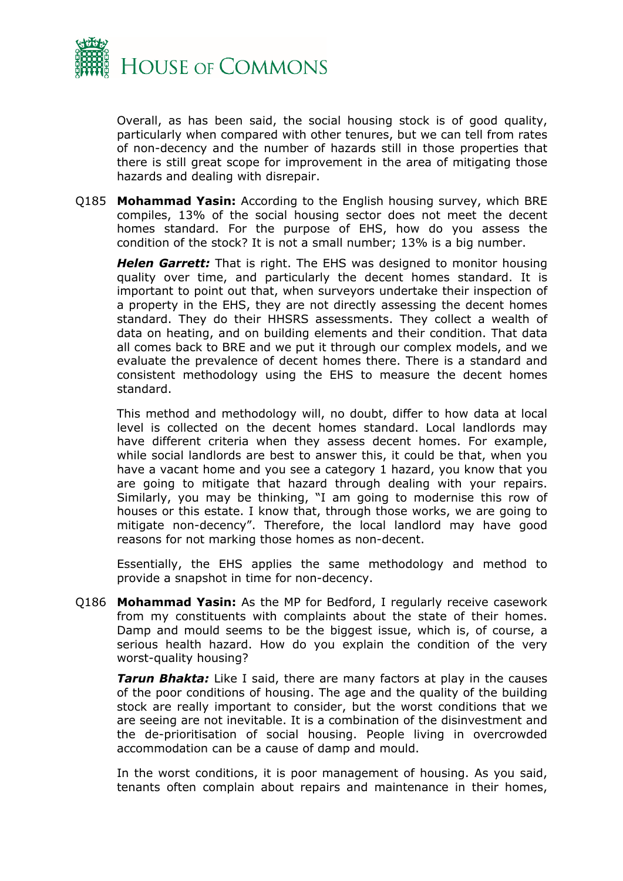

Overall, as has been said, the social housing stock is of good quality, particularly when compared with other tenures, but we can tell from rates of non-decency and the number of hazards still in those properties that there is still great scope for improvement in the area of mitigating those hazards and dealing with disrepair.

Q185 **Mohammad Yasin:** According to the English housing survey, which BRE compiles, 13% of the social housing sector does not meet the decent homes standard. For the purpose of EHS, how do you assess the condition of the stock? It is not a small number; 13% is a big number.

*Helen Garrett:* That is right. The EHS was designed to monitor housing quality over time, and particularly the decent homes standard. It is important to point out that, when surveyors undertake their inspection of a property in the EHS, they are not directly assessing the decent homes standard. They do their HHSRS assessments. They collect a wealth of data on heating, and on building elements and their condition. That data all comes back to BRE and we put it through our complex models, and we evaluate the prevalence of decent homes there. There is a standard and consistent methodology using the EHS to measure the decent homes standard.

This method and methodology will, no doubt, differ to how data at local level is collected on the decent homes standard. Local landlords may have different criteria when they assess decent homes. For example, while social landlords are best to answer this, it could be that, when you have a vacant home and you see a category 1 hazard, you know that you are going to mitigate that hazard through dealing with your repairs. Similarly, you may be thinking, "I am going to modernise this row of houses or this estate. I know that, through those works, we are going to mitigate non-decency". Therefore, the local landlord may have good reasons for not marking those homes as non-decent.

Essentially, the EHS applies the same methodology and method to provide a snapshot in time for non-decency.

Q186 **Mohammad Yasin:** As the MP for Bedford, I regularly receive casework from my constituents with complaints about the state of their homes. Damp and mould seems to be the biggest issue, which is, of course, a serious health hazard. How do you explain the condition of the very worst-quality housing?

**Tarun Bhakta:** Like I said, there are many factors at play in the causes of the poor conditions of housing. The age and the quality of the building stock are really important to consider, but the worst conditions that we are seeing are not inevitable. It is a combination of the disinvestment and the de-prioritisation of social housing. People living in overcrowded accommodation can be a cause of damp and mould.

In the worst conditions, it is poor management of housing. As you said, tenants often complain about repairs and maintenance in their homes,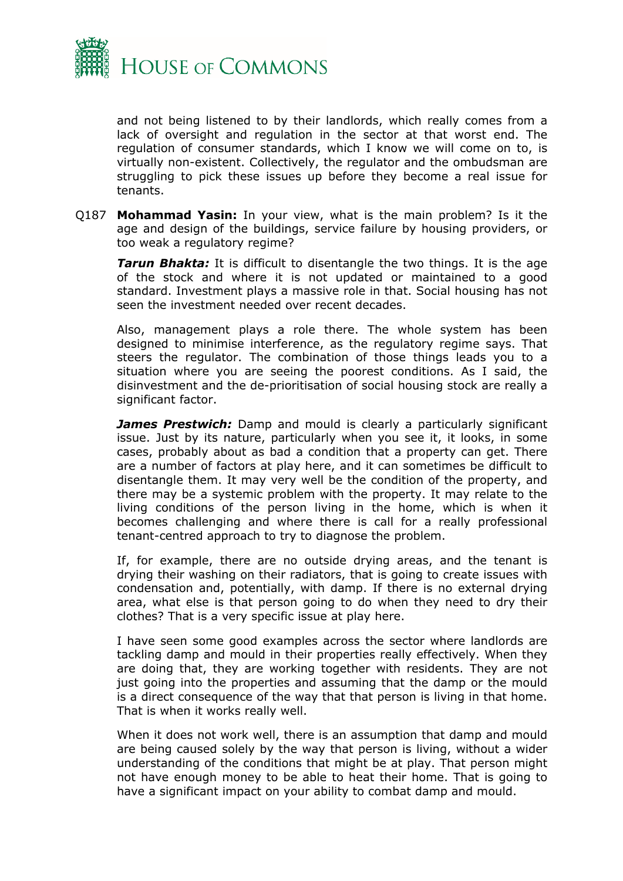

and not being listened to by their landlords, which really comes from a lack of oversight and regulation in the sector at that worst end. The regulation of consumer standards, which I know we will come on to, is virtually non-existent. Collectively, the regulator and the ombudsman are struggling to pick these issues up before they become a real issue for tenants.

Q187 **Mohammad Yasin:** In your view, what is the main problem? Is it the age and design of the buildings, service failure by housing providers, or too weak a regulatory regime?

*Tarun Bhakta:* It is difficult to disentangle the two things. It is the age of the stock and where it is not updated or maintained to a good standard. Investment plays a massive role in that. Social housing has not seen the investment needed over recent decades.

Also, management plays a role there. The whole system has been designed to minimise interference, as the regulatory regime says. That steers the regulator. The combination of those things leads you to a situation where you are seeing the poorest conditions. As I said, the disinvestment and the de-prioritisation of social housing stock are really a significant factor.

**James Prestwich:** Damp and mould is clearly a particularly significant issue. Just by its nature, particularly when you see it, it looks, in some cases, probably about as bad a condition that a property can get. There are a number of factors at play here, and it can sometimes be difficult to disentangle them. It may very well be the condition of the property, and there may be a systemic problem with the property. It may relate to the living conditions of the person living in the home, which is when it becomes challenging and where there is call for a really professional tenant-centred approach to try to diagnose the problem.

If, for example, there are no outside drying areas, and the tenant is drying their washing on their radiators, that is going to create issues with condensation and, potentially, with damp. If there is no external drying area, what else is that person going to do when they need to dry their clothes? That is a very specific issue at play here.

I have seen some good examples across the sector where landlords are tackling damp and mould in their properties really effectively. When they are doing that, they are working together with residents. They are not just going into the properties and assuming that the damp or the mould is a direct consequence of the way that that person is living in that home. That is when it works really well.

When it does not work well, there is an assumption that damp and mould are being caused solely by the way that person is living, without a wider understanding of the conditions that might be at play. That person might not have enough money to be able to heat their home. That is going to have a significant impact on your ability to combat damp and mould.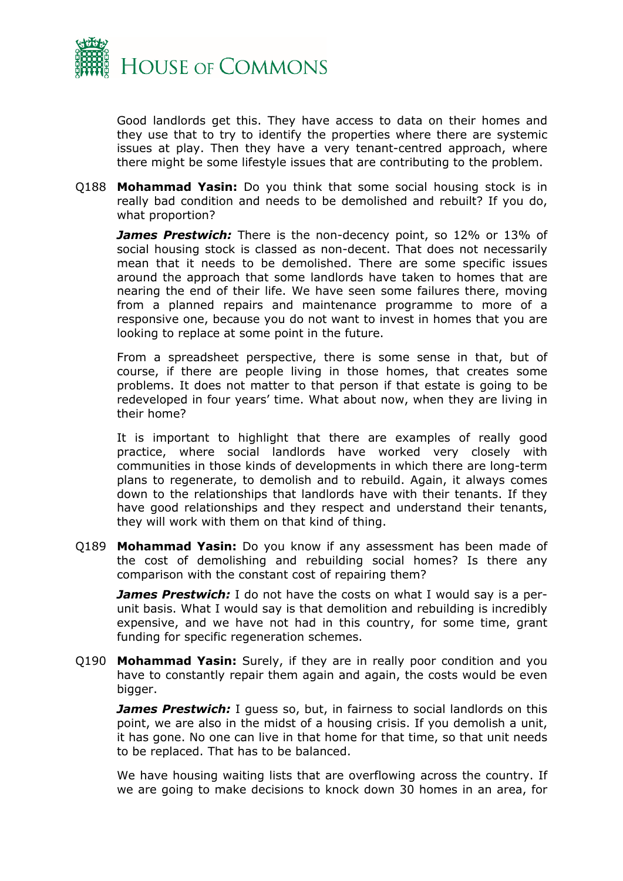

Good landlords get this. They have access to data on their homes and they use that to try to identify the properties where there are systemic issues at play. Then they have a very tenant-centred approach, where there might be some lifestyle issues that are contributing to the problem.

Q188 **Mohammad Yasin:** Do you think that some social housing stock is in really bad condition and needs to be demolished and rebuilt? If you do, what proportion?

*James Prestwich:* There is the non-decency point, so 12% or 13% of social housing stock is classed as non-decent. That does not necessarily mean that it needs to be demolished. There are some specific issues around the approach that some landlords have taken to homes that are nearing the end of their life. We have seen some failures there, moving from a planned repairs and maintenance programme to more of a responsive one, because you do not want to invest in homes that you are looking to replace at some point in the future.

From a spreadsheet perspective, there is some sense in that, but of course, if there are people living in those homes, that creates some problems. It does not matter to that person if that estate is going to be redeveloped in four years' time. What about now, when they are living in their home?

It is important to highlight that there are examples of really good practice, where social landlords have worked very closely with communities in those kinds of developments in which there are long-term plans to regenerate, to demolish and to rebuild. Again, it always comes down to the relationships that landlords have with their tenants. If they have good relationships and they respect and understand their tenants, they will work with them on that kind of thing.

Q189 **Mohammad Yasin:** Do you know if any assessment has been made of the cost of demolishing and rebuilding social homes? Is there any comparison with the constant cost of repairing them?

*James Prestwich:* I do not have the costs on what I would say is a perunit basis. What I would say is that demolition and rebuilding is incredibly expensive, and we have not had in this country, for some time, grant funding for specific regeneration schemes.

Q190 **Mohammad Yasin:** Surely, if they are in really poor condition and you have to constantly repair them again and again, the costs would be even bigger.

*James Prestwich: I guess so, but, in fairness to social landlords on this* point, we are also in the midst of a housing crisis. If you demolish a unit, it has gone. No one can live in that home for that time, so that unit needs to be replaced. That has to be balanced.

We have housing waiting lists that are overflowing across the country. If we are going to make decisions to knock down 30 homes in an area, for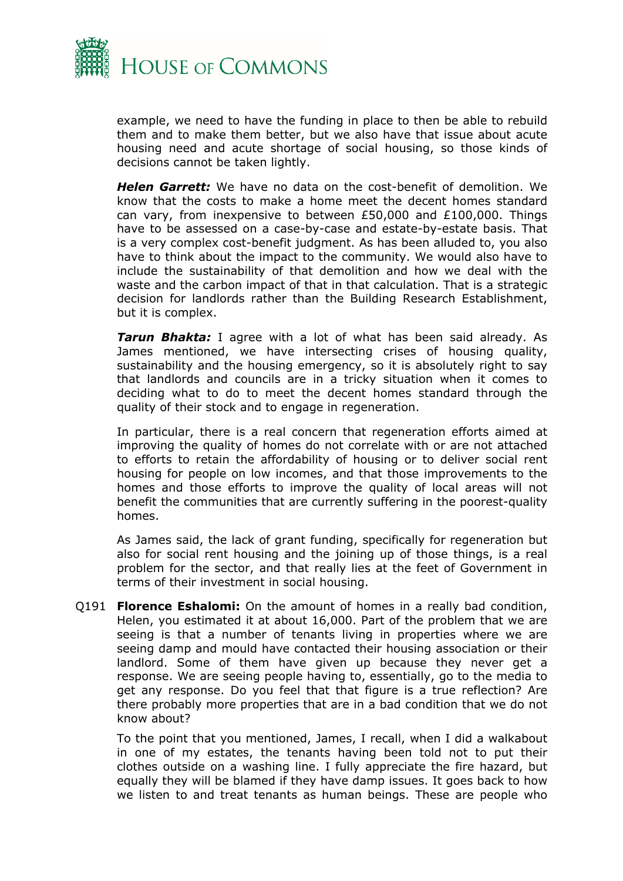

example, we need to have the funding in place to then be able to rebuild them and to make them better, but we also have that issue about acute housing need and acute shortage of social housing, so those kinds of decisions cannot be taken lightly.

*Helen Garrett:* We have no data on the cost-benefit of demolition. We know that the costs to make a home meet the decent homes standard can vary, from inexpensive to between £50,000 and £100,000. Things have to be assessed on a case-by-case and estate-by-estate basis. That is a very complex cost-benefit judgment. As has been alluded to, you also have to think about the impact to the community. We would also have to include the sustainability of that demolition and how we deal with the waste and the carbon impact of that in that calculation. That is a strategic decision for landlords rather than the Building Research Establishment, but it is complex.

*Tarun Bhakta:* I agree with a lot of what has been said already. As James mentioned, we have intersecting crises of housing quality, sustainability and the housing emergency, so it is absolutely right to say that landlords and councils are in a tricky situation when it comes to deciding what to do to meet the decent homes standard through the quality of their stock and to engage in regeneration.

In particular, there is a real concern that regeneration efforts aimed at improving the quality of homes do not correlate with or are not attached to efforts to retain the affordability of housing or to deliver social rent housing for people on low incomes, and that those improvements to the homes and those efforts to improve the quality of local areas will not benefit the communities that are currently suffering in the poorest-quality homes.

As James said, the lack of grant funding, specifically for regeneration but also for social rent housing and the joining up of those things, is a real problem for the sector, and that really lies at the feet of Government in terms of their investment in social housing.

Q191 **Florence Eshalomi:** On the amount of homes in a really bad condition, Helen, you estimated it at about 16,000. Part of the problem that we are seeing is that a number of tenants living in properties where we are seeing damp and mould have contacted their housing association or their landlord. Some of them have given up because they never get a response. We are seeing people having to, essentially, go to the media to get any response. Do you feel that that figure is a true reflection? Are there probably more properties that are in a bad condition that we do not know about?

To the point that you mentioned, James, I recall, when I did a walkabout in one of my estates, the tenants having been told not to put their clothes outside on a washing line. I fully appreciate the fire hazard, but equally they will be blamed if they have damp issues. It goes back to how we listen to and treat tenants as human beings. These are people who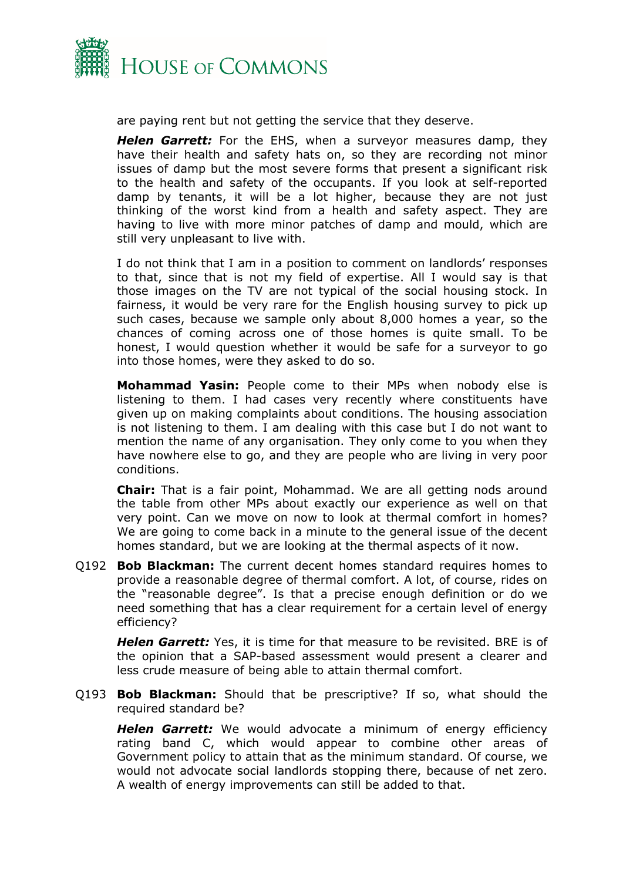

are paying rent but not getting the service that they deserve.

*Helen Garrett:* For the EHS, when a surveyor measures damp, they have their health and safety hats on, so they are recording not minor issues of damp but the most severe forms that present a significant risk to the health and safety of the occupants. If you look at self-reported damp by tenants, it will be a lot higher, because they are not just thinking of the worst kind from a health and safety aspect. They are having to live with more minor patches of damp and mould, which are still very unpleasant to live with.

I do not think that I am in a position to comment on landlords' responses to that, since that is not my field of expertise. All I would say is that those images on the TV are not typical of the social housing stock. In fairness, it would be very rare for the English housing survey to pick up such cases, because we sample only about 8,000 homes a year, so the chances of coming across one of those homes is quite small. To be honest, I would question whether it would be safe for a surveyor to go into those homes, were they asked to do so.

**Mohammad Yasin:** People come to their MPs when nobody else is listening to them. I had cases very recently where constituents have given up on making complaints about conditions. The housing association is not listening to them. I am dealing with this case but I do not want to mention the name of any organisation. They only come to you when they have nowhere else to go, and they are people who are living in very poor conditions.

**Chair:** That is a fair point, Mohammad. We are all getting nods around the table from other MPs about exactly our experience as well on that very point. Can we move on now to look at thermal comfort in homes? We are going to come back in a minute to the general issue of the decent homes standard, but we are looking at the thermal aspects of it now.

Q192 **Bob Blackman:** The current decent homes standard requires homes to provide a reasonable degree of thermal comfort. A lot, of course, rides on the "reasonable degree". Is that a precise enough definition or do we need something that has a clear requirement for a certain level of energy efficiency?

*Helen Garrett:* Yes, it is time for that measure to be revisited. BRE is of the opinion that a SAP-based assessment would present a clearer and less crude measure of being able to attain thermal comfort.

Q193 **Bob Blackman:** Should that be prescriptive? If so, what should the required standard be?

*Helen Garrett:* We would advocate a minimum of energy efficiency rating band C, which would appear to combine other areas of Government policy to attain that as the minimum standard. Of course, we would not advocate social landlords stopping there, because of net zero. A wealth of energy improvements can still be added to that.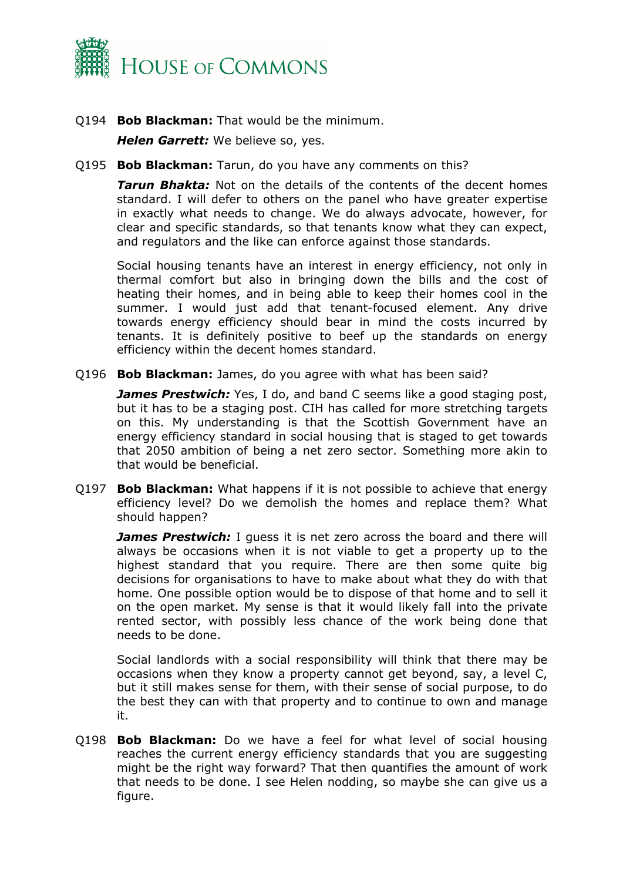

Q194 **Bob Blackman:** That would be the minimum.

*Helen Garrett:* We believe so, yes.

Q195 **Bob Blackman:** Tarun, do you have any comments on this?

*Tarun Bhakta:* Not on the details of the contents of the decent homes standard. I will defer to others on the panel who have greater expertise in exactly what needs to change. We do always advocate, however, for clear and specific standards, so that tenants know what they can expect, and regulators and the like can enforce against those standards.

Social housing tenants have an interest in energy efficiency, not only in thermal comfort but also in bringing down the bills and the cost of heating their homes, and in being able to keep their homes cool in the summer. I would just add that tenant-focused element. Any drive towards energy efficiency should bear in mind the costs incurred by tenants. It is definitely positive to beef up the standards on energy efficiency within the decent homes standard.

Q196 **Bob Blackman:** James, do you agree with what has been said?

*James Prestwich:* Yes, I do, and band C seems like a good staging post, but it has to be a staging post. CIH has called for more stretching targets on this. My understanding is that the Scottish Government have an energy efficiency standard in social housing that is staged to get towards that 2050 ambition of being a net zero sector. Something more akin to that would be beneficial.

Q197 **Bob Blackman:** What happens if it is not possible to achieve that energy efficiency level? Do we demolish the homes and replace them? What should happen?

**James Prestwich:** I guess it is net zero across the board and there will always be occasions when it is not viable to get a property up to the highest standard that you require. There are then some quite big decisions for organisations to have to make about what they do with that home. One possible option would be to dispose of that home and to sell it on the open market. My sense is that it would likely fall into the private rented sector, with possibly less chance of the work being done that needs to be done.

Social landlords with a social responsibility will think that there may be occasions when they know a property cannot get beyond, say, a level C, but it still makes sense for them, with their sense of social purpose, to do the best they can with that property and to continue to own and manage it.

Q198 **Bob Blackman:** Do we have a feel for what level of social housing reaches the current energy efficiency standards that you are suggesting might be the right way forward? That then quantifies the amount of work that needs to be done. I see Helen nodding, so maybe she can give us a figure.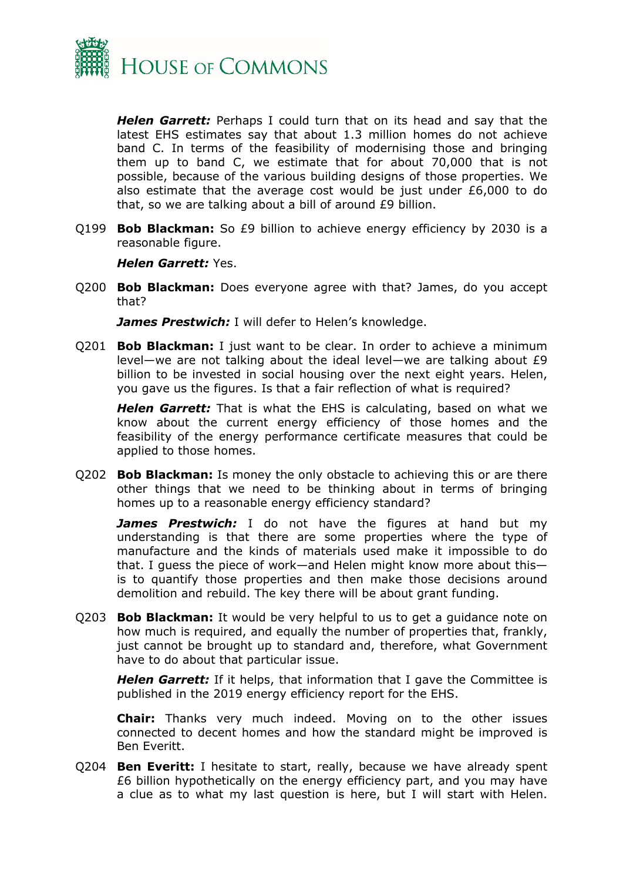

*Helen Garrett:* Perhaps I could turn that on its head and say that the latest EHS estimates say that about 1.3 million homes do not achieve band C. In terms of the feasibility of modernising those and bringing them up to band C, we estimate that for about 70,000 that is not possible, because of the various building designs of those properties. We also estimate that the average cost would be just under £6,000 to do that, so we are talking about a bill of around £9 billion.

Q199 **Bob Blackman:** So £9 billion to achieve energy efficiency by 2030 is a reasonable figure.

#### *Helen Garrett:* Yes.

Q200 **Bob Blackman:** Does everyone agree with that? James, do you accept that?

*James Prestwich:* I will defer to Helen's knowledge.

Q201 **Bob Blackman:** I just want to be clear. In order to achieve a minimum level—we are not talking about the ideal level—we are talking about £9 billion to be invested in social housing over the next eight years. Helen, you gave us the figures. Is that a fair reflection of what is required?

*Helen Garrett:* That is what the EHS is calculating, based on what we know about the current energy efficiency of those homes and the feasibility of the energy performance certificate measures that could be applied to those homes.

Q202 **Bob Blackman:** Is money the only obstacle to achieving this or are there other things that we need to be thinking about in terms of bringing homes up to a reasonable energy efficiency standard?

*James Prestwich:* I do not have the figures at hand but my understanding is that there are some properties where the type of manufacture and the kinds of materials used make it impossible to do that. I guess the piece of work—and Helen might know more about this is to quantify those properties and then make those decisions around demolition and rebuild. The key there will be about grant funding.

Q203 **Bob Blackman:** It would be very helpful to us to get a guidance note on how much is required, and equally the number of properties that, frankly, just cannot be brought up to standard and, therefore, what Government have to do about that particular issue.

*Helen Garrett:* If it helps, that information that I gave the Committee is published in the 2019 energy efficiency report for the EHS.

**Chair:** Thanks very much indeed. Moving on to the other issues connected to decent homes and how the standard might be improved is Ben Everitt.

Q204 **Ben Everitt:** I hesitate to start, really, because we have already spent £6 billion hypothetically on the energy efficiency part, and you may have a clue as to what my last question is here, but I will start with Helen.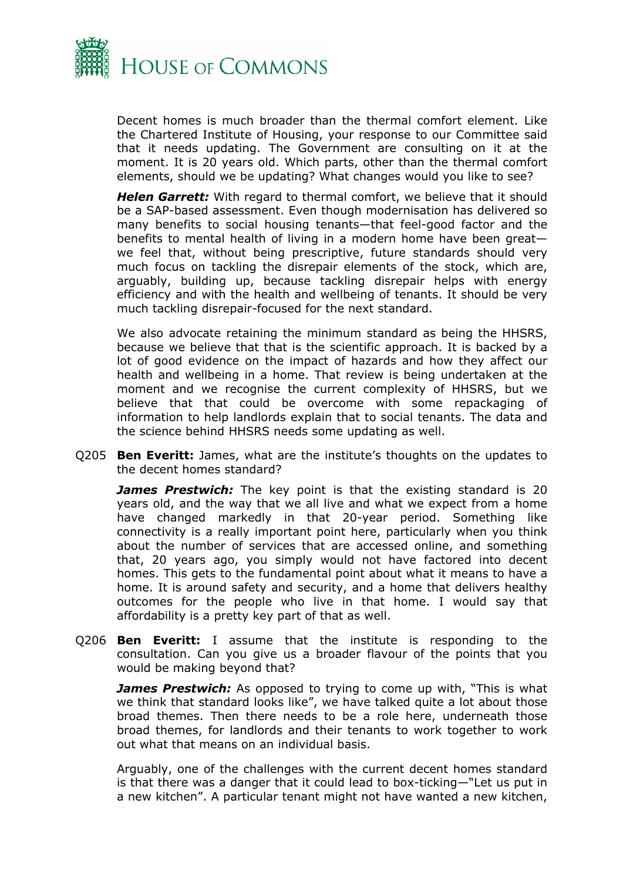

Decent homes is much broader than the thermal comfort element. Like the Chartered Institute of Housing, your response to our Committee said that it needs updating. The Government are consulting on it at the moment. It is 20 years old. Which parts, other than the thermal comfort elements, should we be updating? What changes would you like to see?

*Helen Garrett:* With regard to thermal comfort, we believe that it should be a SAP-based assessment. Even though modernisation has delivered so many benefits to social housing tenants—that feel-good factor and the benefits to mental health of living in a modern home have been great we feel that, without being prescriptive, future standards should very much focus on tackling the disrepair elements of the stock, which are, arguably, building up, because tackling disrepair helps with energy efficiency and with the health and wellbeing of tenants. It should be very much tackling disrepair-focused for the next standard.

We also advocate retaining the minimum standard as being the HHSRS, because we believe that that is the scientific approach. It is backed by a lot of good evidence on the impact of hazards and how they affect our health and wellbeing in a home. That review is being undertaken at the moment and we recognise the current complexity of HHSRS, but we believe that that could be overcome with some repackaging of information to help landlords explain that to social tenants. The data and the science behind HHSRS needs some updating as well.

Q205 **Ben Everitt:** James, what are the institute's thoughts on the updates to the decent homes standard?

**James Prestwich:** The key point is that the existing standard is 20 years old, and the way that we all live and what we expect from a home have changed markedly in that 20-year period. Something like connectivity is a really important point here, particularly when you think about the number of services that are accessed online, and something that, 20 years ago, you simply would not have factored into decent homes. This gets to the fundamental point about what it means to have a home. It is around safety and security, and a home that delivers healthy outcomes for the people who live in that home. I would say that affordability is a pretty key part of that as well.

Q206 **Ben Everitt:** I assume that the institute is responding to the consultation. Can you give us a broader flavour of the points that you would be making beyond that?

*James Prestwich:* As opposed to trying to come up with, "This is what we think that standard looks like", we have talked quite a lot about those broad themes. Then there needs to be a role here, underneath those broad themes, for landlords and their tenants to work together to work out what that means on an individual basis.

Arguably, one of the challenges with the current decent homes standard is that there was a danger that it could lead to box-ticking—"Let us put in a new kitchen". A particular tenant might not have wanted a new kitchen,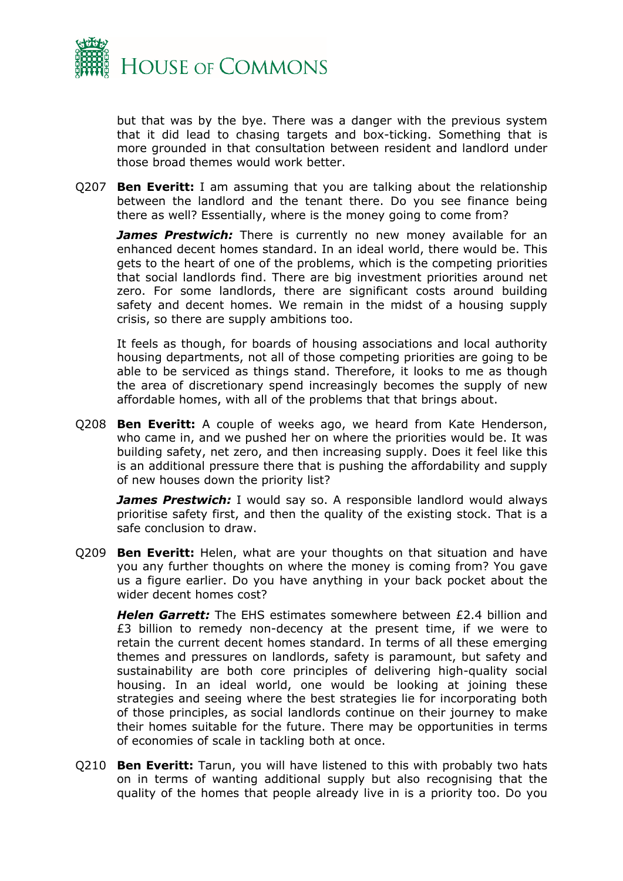

but that was by the bye. There was a danger with the previous system that it did lead to chasing targets and box-ticking. Something that is more grounded in that consultation between resident and landlord under those broad themes would work better.

Q207 **Ben Everitt:** I am assuming that you are talking about the relationship between the landlord and the tenant there. Do you see finance being there as well? Essentially, where is the money going to come from?

**James Prestwich:** There is currently no new money available for an enhanced decent homes standard. In an ideal world, there would be. This gets to the heart of one of the problems, which is the competing priorities that social landlords find. There are big investment priorities around net zero. For some landlords, there are significant costs around building safety and decent homes. We remain in the midst of a housing supply crisis, so there are supply ambitions too.

It feels as though, for boards of housing associations and local authority housing departments, not all of those competing priorities are going to be able to be serviced as things stand. Therefore, it looks to me as though the area of discretionary spend increasingly becomes the supply of new affordable homes, with all of the problems that that brings about.

Q208 **Ben Everitt:** A couple of weeks ago, we heard from Kate Henderson, who came in, and we pushed her on where the priorities would be. It was building safety, net zero, and then increasing supply. Does it feel like this is an additional pressure there that is pushing the affordability and supply of new houses down the priority list?

**James Prestwich:** I would say so. A responsible landlord would always prioritise safety first, and then the quality of the existing stock. That is a safe conclusion to draw.

Q209 **Ben Everitt:** Helen, what are your thoughts on that situation and have you any further thoughts on where the money is coming from? You gave us a figure earlier. Do you have anything in your back pocket about the wider decent homes cost?

*Helen Garrett:* The EHS estimates somewhere between £2.4 billion and £3 billion to remedy non-decency at the present time, if we were to retain the current decent homes standard. In terms of all these emerging themes and pressures on landlords, safety is paramount, but safety and sustainability are both core principles of delivering high-quality social housing. In an ideal world, one would be looking at joining these strategies and seeing where the best strategies lie for incorporating both of those principles, as social landlords continue on their journey to make their homes suitable for the future. There may be opportunities in terms of economies of scale in tackling both at once.

Q210 **Ben Everitt:** Tarun, you will have listened to this with probably two hats on in terms of wanting additional supply but also recognising that the quality of the homes that people already live in is a priority too. Do you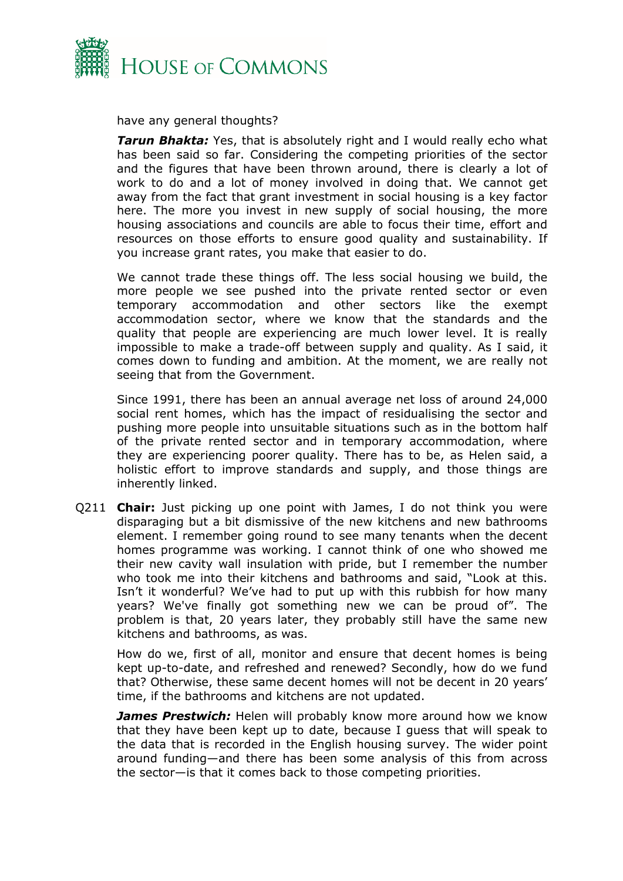

have any general thoughts?

**Tarun Bhakta:** Yes, that is absolutely right and I would really echo what has been said so far. Considering the competing priorities of the sector and the figures that have been thrown around, there is clearly a lot of work to do and a lot of money involved in doing that. We cannot get away from the fact that grant investment in social housing is a key factor here. The more you invest in new supply of social housing, the more housing associations and councils are able to focus their time, effort and resources on those efforts to ensure good quality and sustainability. If you increase grant rates, you make that easier to do.

We cannot trade these things off. The less social housing we build, the more people we see pushed into the private rented sector or even temporary accommodation and other sectors like the exempt accommodation sector, where we know that the standards and the quality that people are experiencing are much lower level. It is really impossible to make a trade-off between supply and quality. As I said, it comes down to funding and ambition. At the moment, we are really not seeing that from the Government.

Since 1991, there has been an annual average net loss of around 24,000 social rent homes, which has the impact of residualising the sector and pushing more people into unsuitable situations such as in the bottom half of the private rented sector and in temporary accommodation, where they are experiencing poorer quality. There has to be, as Helen said, a holistic effort to improve standards and supply, and those things are inherently linked.

Q211 **Chair:** Just picking up one point with James, I do not think you were disparaging but a bit dismissive of the new kitchens and new bathrooms element. I remember going round to see many tenants when the decent homes programme was working. I cannot think of one who showed me their new cavity wall insulation with pride, but I remember the number who took me into their kitchens and bathrooms and said, "Look at this. Isn't it wonderful? We've had to put up with this rubbish for how many years? We've finally got something new we can be proud of". The problem is that, 20 years later, they probably still have the same new kitchens and bathrooms, as was.

How do we, first of all, monitor and ensure that decent homes is being kept up-to-date, and refreshed and renewed? Secondly, how do we fund that? Otherwise, these same decent homes will not be decent in 20 years' time, if the bathrooms and kitchens are not updated.

*James Prestwich:* Helen will probably know more around how we know that they have been kept up to date, because I guess that will speak to the data that is recorded in the English housing survey. The wider point around funding—and there has been some analysis of this from across the sector—is that it comes back to those competing priorities.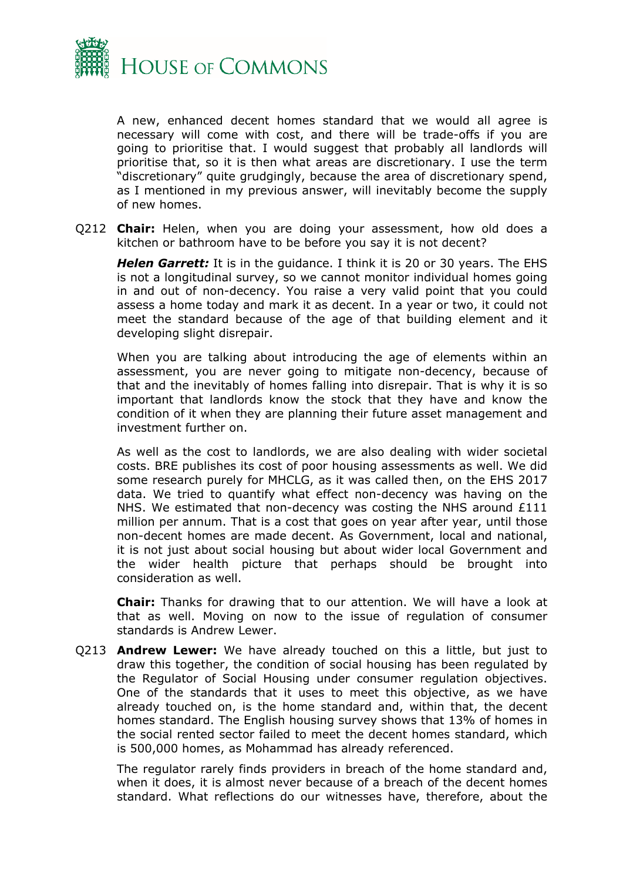

A new, enhanced decent homes standard that we would all agree is necessary will come with cost, and there will be trade-offs if you are going to prioritise that. I would suggest that probably all landlords will prioritise that, so it is then what areas are discretionary. I use the term "discretionary" quite grudgingly, because the area of discretionary spend, as I mentioned in my previous answer, will inevitably become the supply of new homes.

Q212 **Chair:** Helen, when you are doing your assessment, how old does a kitchen or bathroom have to be before you say it is not decent?

*Helen Garrett:* It is in the guidance. I think it is 20 or 30 years. The EHS is not a longitudinal survey, so we cannot monitor individual homes going in and out of non-decency. You raise a very valid point that you could assess a home today and mark it as decent. In a year or two, it could not meet the standard because of the age of that building element and it developing slight disrepair.

When you are talking about introducing the age of elements within an assessment, you are never going to mitigate non-decency, because of that and the inevitably of homes falling into disrepair. That is why it is so important that landlords know the stock that they have and know the condition of it when they are planning their future asset management and investment further on.

As well as the cost to landlords, we are also dealing with wider societal costs. BRE publishes its cost of poor housing assessments as well. We did some research purely for MHCLG, as it was called then, on the EHS 2017 data. We tried to quantify what effect non-decency was having on the NHS. We estimated that non-decency was costing the NHS around £111 million per annum. That is a cost that goes on year after year, until those non-decent homes are made decent. As Government, local and national, it is not just about social housing but about wider local Government and the wider health picture that perhaps should be brought into consideration as well.

**Chair:** Thanks for drawing that to our attention. We will have a look at that as well. Moving on now to the issue of regulation of consumer standards is Andrew Lewer.

Q213 **Andrew Lewer:** We have already touched on this a little, but just to draw this together, the condition of social housing has been regulated by the Regulator of Social Housing under consumer regulation objectives. One of the standards that it uses to meet this objective, as we have already touched on, is the home standard and, within that, the decent homes standard. The English housing survey shows that 13% of homes in the social rented sector failed to meet the decent homes standard, which is 500,000 homes, as Mohammad has already referenced.

The regulator rarely finds providers in breach of the home standard and, when it does, it is almost never because of a breach of the decent homes standard. What reflections do our witnesses have, therefore, about the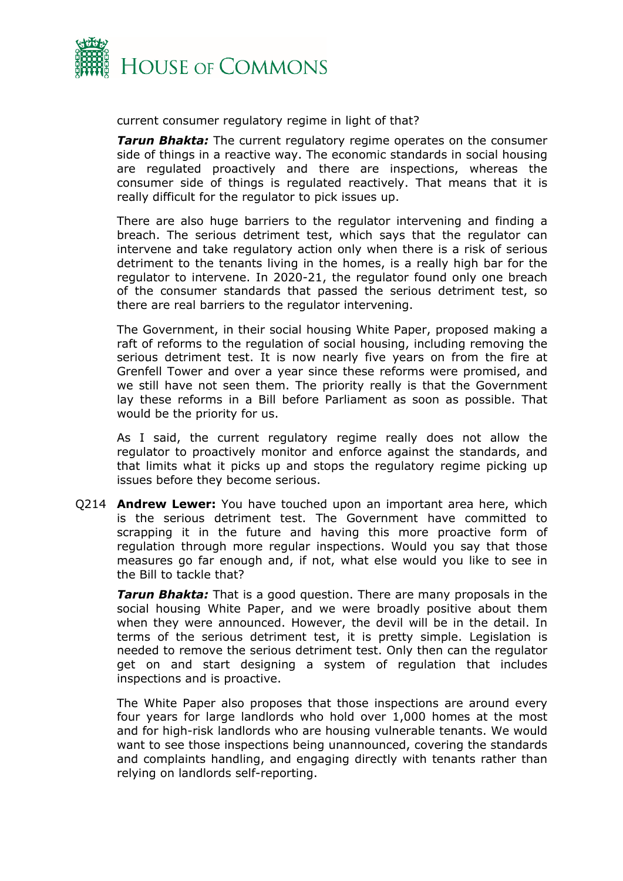

current consumer regulatory regime in light of that?

*Tarun Bhakta:* The current regulatory regime operates on the consumer side of things in a reactive way. The economic standards in social housing are regulated proactively and there are inspections, whereas the consumer side of things is regulated reactively. That means that it is really difficult for the regulator to pick issues up.

There are also huge barriers to the regulator intervening and finding a breach. The serious detriment test, which says that the regulator can intervene and take regulatory action only when there is a risk of serious detriment to the tenants living in the homes, is a really high bar for the regulator to intervene. In 2020-21, the regulator found only one breach of the consumer standards that passed the serious detriment test, so there are real barriers to the regulator intervening.

The Government, in their social housing White Paper, proposed making a raft of reforms to the regulation of social housing, including removing the serious detriment test. It is now nearly five years on from the fire at Grenfell Tower and over a year since these reforms were promised, and we still have not seen them. The priority really is that the Government lay these reforms in a Bill before Parliament as soon as possible. That would be the priority for us.

As I said, the current regulatory regime really does not allow the regulator to proactively monitor and enforce against the standards, and that limits what it picks up and stops the regulatory regime picking up issues before they become serious.

Q214 **Andrew Lewer:** You have touched upon an important area here, which is the serious detriment test. The Government have committed to scrapping it in the future and having this more proactive form of regulation through more regular inspections. Would you say that those measures go far enough and, if not, what else would you like to see in the Bill to tackle that?

*Tarun Bhakta:* That is a good question. There are many proposals in the social housing White Paper, and we were broadly positive about them when they were announced. However, the devil will be in the detail. In terms of the serious detriment test, it is pretty simple. Legislation is needed to remove the serious detriment test. Only then can the regulator get on and start designing a system of regulation that includes inspections and is proactive.

The White Paper also proposes that those inspections are around every four years for large landlords who hold over 1,000 homes at the most and for high-risk landlords who are housing vulnerable tenants. We would want to see those inspections being unannounced, covering the standards and complaints handling, and engaging directly with tenants rather than relying on landlords self-reporting.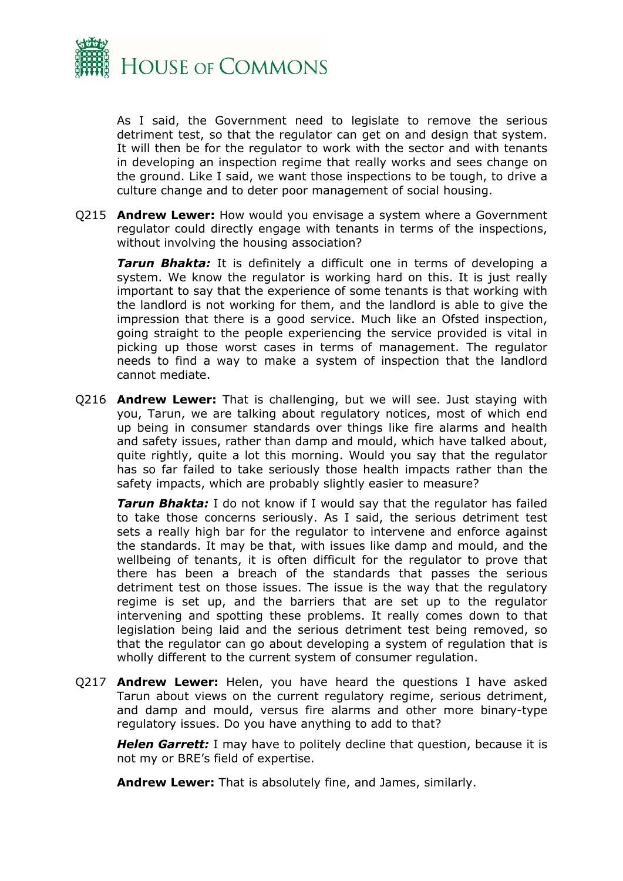

As I said, the Government need to legislate to remove the serious detriment test, so that the regulator can get on and design that system. It will then be for the regulator to work with the sector and with tenants in developing an inspection regime that really works and sees change on the ground. Like I said, we want those inspections to be tough, to drive a culture change and to deter poor management of social housing.

Q215 **Andrew Lewer:** How would you envisage a system where a Government regulator could directly engage with tenants in terms of the inspections, without involving the housing association?

*Tarun Bhakta:* It is definitely a difficult one in terms of developing a system. We know the regulator is working hard on this. It is just really important to say that the experience of some tenants is that working with the landlord is not working for them, and the landlord is able to give the impression that there is a good service. Much like an Ofsted inspection, going straight to the people experiencing the service provided is vital in picking up those worst cases in terms of management. The regulator needs to find a way to make a system of inspection that the landlord cannot mediate.

Q216 **Andrew Lewer:** That is challenging, but we will see. Just staying with you, Tarun, we are talking about regulatory notices, most of which end up being in consumer standards over things like fire alarms and health and safety issues, rather than damp and mould, which have talked about, quite rightly, quite a lot this morning. Would you say that the regulator has so far failed to take seriously those health impacts rather than the safety impacts, which are probably slightly easier to measure?

*Tarun Bhakta:* I do not know if I would say that the regulator has failed to take those concerns seriously. As I said, the serious detriment test sets a really high bar for the regulator to intervene and enforce against the standards. It may be that, with issues like damp and mould, and the wellbeing of tenants, it is often difficult for the regulator to prove that there has been a breach of the standards that passes the serious detriment test on those issues. The issue is the way that the regulatory regime is set up, and the barriers that are set up to the regulator intervening and spotting these problems. It really comes down to that legislation being laid and the serious detriment test being removed, so that the regulator can go about developing a system of regulation that is wholly different to the current system of consumer regulation.

Q217 **Andrew Lewer:** Helen, you have heard the questions I have asked Tarun about views on the current regulatory regime, serious detriment, and damp and mould, versus fire alarms and other more binary-type regulatory issues. Do you have anything to add to that?

*Helen Garrett:* I may have to politely decline that question, because it is not my or BRE's field of expertise.

**Andrew Lewer:** That is absolutely fine, and James, similarly.